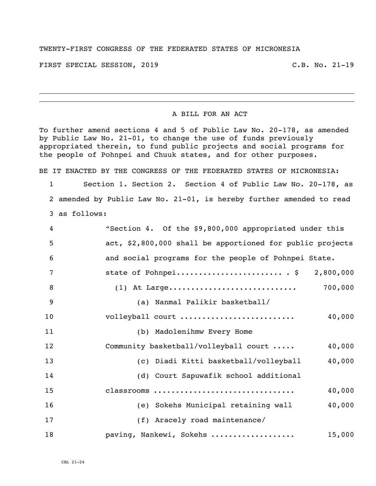## TWENTY-FIRST CONGRESS OF THE FEDERATED STATES OF MICRONESIA

FIRST SPECIAL SESSION, 2019 C.B. No. 21-19

## A BILL FOR AN ACT

To further amend sections 4 and 5 of Public Law No. 20-178, as amended by Public Law No. 21-01, to change the use of funds previously appropriated therein, to fund public projects and social programs for the people of Pohnpei and Chuuk states, and for other purposes.

BE IT ENACTED BY THE CONGRESS OF THE FEDERATED STATES OF MICRONESIA:

 Section 1. Section 2. Section 4 of Public Law No. 20-178, as amended by Public Law No. 21-01, is hereby further amended to read as follows:

| 4              | "Section 4. Of the \$9,800,000 appropriated under this    |
|----------------|-----------------------------------------------------------|
| 5              | act, \$2,800,000 shall be apportioned for public projects |
| 6              | and social programs for the people of Pohnpei State.      |
| $\overline{7}$ | state of Pohnpei $\frac{5}{2,800,000}$                    |
| 8              | 700,000<br>$(1)$ At Large                                 |
| 9              | (a) Nanmal Palikir basketball/                            |
| 10             | volleyball court<br>40,000                                |
| 11             | (b) Madolenihmw Every Home                                |
| 12             | Community basketball/volleyball court<br>40,000           |
| 13             | (c) Diadi Kitti basketball/volleyball<br>40,000           |
| 14             | (d) Court Sapuwafik school additional                     |
| 15             | 40,000<br>classrooms                                      |
| 16             | 40,000<br>(e) Sokehs Municipal retaining wall             |
| 17             | (f) Aracely road maintenance/                             |
| 18             | paving, Nankewi, Sokehs<br>15,000                         |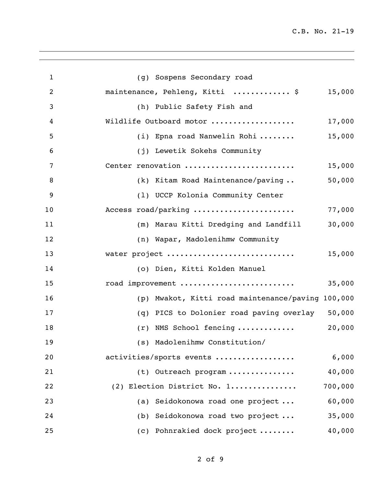| $\mathbf{1}$   | (g) Sospens Secondary road                           |         |
|----------------|------------------------------------------------------|---------|
| $\overline{2}$ | maintenance, Pehleng, Kitti  \$                      | 15,000  |
| 3              | (h) Public Safety Fish and                           |         |
| 4              | Wildlife Outboard motor                              | 17,000  |
| 5              | (i) Epna road Nanwelin Rohi                          | 15,000  |
| 6              | (j) Lewetik Sokehs Community                         |         |
| 7              | Center renovation                                    | 15,000  |
| 8              | (k) Kitam Road Maintenance/paving                    | 50,000  |
| 9              | (1) UCCP Kolonia Community Center                    |         |
| 10             | Access road/parking                                  | 77,000  |
| 11             | (m) Marau Kitti Dredging and Landfill                | 30,000  |
| 12             | (n) Wapar, Madolenihmw Community                     |         |
| 13             | water project                                        | 15,000  |
| 14             | (o) Dien, Kitti Kolden Manuel                        |         |
| 15             | road improvement                                     | 35,000  |
| 16             | Mwakot, Kitti road maintenance/paving 100,000<br>(p) |         |
| 17             | PICS to Dolonier road paving overlay 50,000<br>(q)   |         |
| 18             | (r) NMS School fencing                               | 20,000  |
| 19             | (s) Madolenihmw Constitution/                        |         |
| 20             | activities/sports events                             | 6,000   |
| 21             | (t) Outreach program                                 | 40,000  |
| 22             | (2) Election District No. 1                          | 700,000 |
| 23             | (a) Seidokonowa road one project                     | 60,000  |
| 24             | (b) Seidokonowa road two project                     | 35,000  |
| 25             | (c) Pohnrakied dock project                          | 40,000  |
|                |                                                      |         |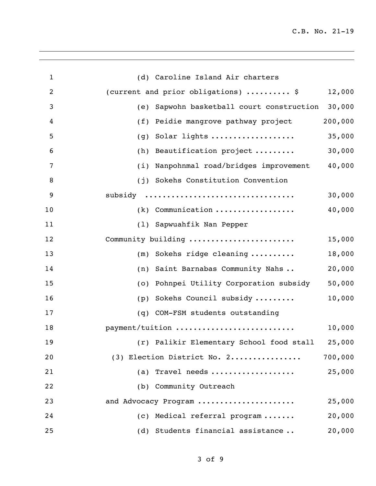| 1              | (d) Caroline Island Air charters                       |  |
|----------------|--------------------------------------------------------|--|
| $\overline{2}$ | (current and prior obligations)  \$<br>12,000          |  |
| 3              | Sapwohn basketball court construction<br>30,000<br>(e) |  |
| 4              | 200,000<br>Peidie mangrove pathway project<br>(f)      |  |
| 5              | Solar lights<br>35,000<br>(g)                          |  |
| 6              | 30,000<br>Beautification project<br>(h)                |  |
| 7              | 40,000<br>(i) Nanpohnmal road/bridges improvement      |  |
| 8              | (j) Sokehs Constitution Convention                     |  |
| 9              | subsidy<br>30,000                                      |  |
| 10             | $(k)$ Communication<br>40,000                          |  |
| 11             | (1) Sapwuahfik Nan Pepper                              |  |
| 12             | Community building<br>15,000                           |  |
| 13             | Sokehs ridge cleaning<br>18,000<br>(m)                 |  |
| 14             | Saint Barnabas Community Nahs<br>20,000<br>(n)         |  |
| 15             | 50,000<br>Pohnpei Utility Corporation subsidy<br>(0)   |  |
| 16             | Sokehs Council subsidy<br>10,000<br>(p)                |  |
| 17             | COM-FSM students outstanding<br>(q)                    |  |
| 18             | payment/tuition<br>10,000                              |  |
| 19             | (r) Palikir Elementary School food stall 25,000        |  |
| 20             | 700,000<br>(3) Election District No. 2                 |  |
| 21             | (a) Travel needs<br>25,000                             |  |
| 22             | (b) Community Outreach                                 |  |
| 23             | 25,000<br>and Advocacy Program                         |  |
| 24             | (c) Medical referral program<br>20,000                 |  |
| 25             | Students financial assistance<br>20,000<br>(d)         |  |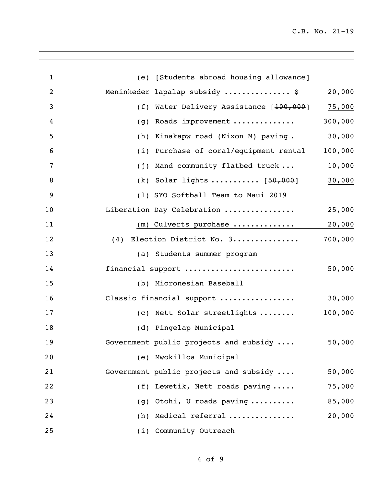| $\mathbf{1}$   | (e) [Students abroad housing allowance]                 |         |
|----------------|---------------------------------------------------------|---------|
| $\overline{2}$ | Meninkeder lapalap subsidy  \$                          | 20,000  |
| 3              | (f) Water Delivery Assistance [100,000]                 | 75,000  |
| 4              | Roads improvement<br>(g)                                | 300,000 |
| 5              | Kinakapw road (Nixon M) paving.<br>(h)                  | 30,000  |
| 6              | Purchase of coral/equipment rental<br>(i)               | 100,000 |
| 7              | Mand community flatbed truck<br>(j)                     | 10,000  |
| 8              | (k) Solar lights $\ldots \ldots \ldots \ldots$ [50,000] | 30,000  |
| 9              | (1) SYO Softball Team to Maui 2019                      |         |
| 10             | Liberation Day Celebration                              | 25,000  |
| 11             | (m) Culverts purchase                                   | 20,000  |
| 12             | (4) Election District No. 3                             | 700,000 |
| 13             | (a) Students summer program                             |         |
| 14             | financial support                                       | 50,000  |
| 15             | (b) Micronesian Baseball                                |         |
| 16             | Classic financial support                               | 30,000  |
| 17             | (c) Nett Solar streetlights                             | 100,000 |
| 18             | (d) Pingelap Municipal                                  |         |
| 19             | Government public projects and subsidy                  | 50,000  |
| 20             | (e) Mwokilloa Municipal                                 |         |
| 21             | Government public projects and subsidy                  | 50,000  |
| 22             | (f) Lewetik, Nett roads paving                          | 75,000  |
| 23             | $(g)$ Otohi, U roads paving                             | 85,000  |
| 24             | (h) Medical referral                                    | 20,000  |
| 25             | (i) Community Outreach                                  |         |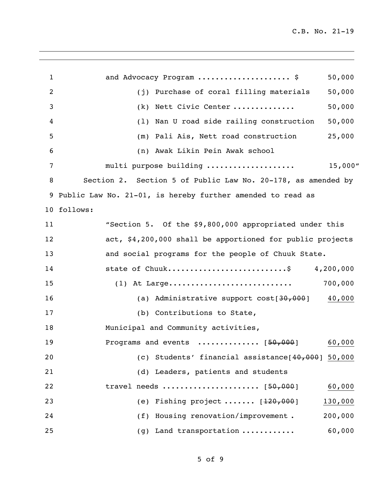| $\mathbf 1$    | and Advocacy Program  \$                                     | 50,000    |
|----------------|--------------------------------------------------------------|-----------|
| $\overline{2}$ | (j) Purchase of coral filling materials                      | 50,000    |
| 3              | (k) Nett Civic Center                                        | 50,000    |
| 4              | (1) Nan U road side railing construction                     | 50,000    |
| 5              | (m) Pali Ais, Nett road construction                         | 25,000    |
| 6              | (n) Awak Likin Pein Awak school                              |           |
| 7              | multi purpose building                                       | 15,000''  |
| 8              | Section 2. Section 5 of Public Law No. 20-178, as amended by |           |
|                | 9 Public Law No. 21-01, is hereby further amended to read as |           |
|                | 10 follows:                                                  |           |
| 11             | "Section 5. Of the \$9,800,000 appropriated under this       |           |
| 12             | act, \$4,200,000 shall be apportioned for public projects    |           |
| 13             | and social programs for the people of Chuuk State.           |           |
| 14             | state of Chuuk\$                                             | 4,200,000 |
| 15             | $(1)$ At Large                                               | 700,000   |
| 16             | (a) Administrative support cost[30,000]                      | 40,000    |
| 17             | (b) Contributions to State,                                  |           |
| 18             | Municipal and Community activities,                          |           |
| 19             | Programs and events $\ldots \ldots \ldots \ldots$ [50,000]   | 60,000    |
| 20             | (c) Students' financial assistance $[40,000]$ 50,000         |           |
| 21             | (d) Leaders, patients and students                           |           |
| 22             | travel needs $[50,000]$                                      | 60,000    |
| 23             | (e) Fishing project $[120,000]$                              | 130,000   |
| 24             | (f) Housing renovation/improvement.                          | 200,000   |
| 25             | (g) Land transportation                                      | 60,000    |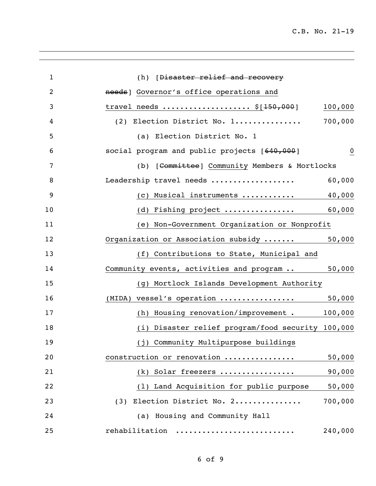| $\mathbf{1}$   | (h) [Disaster relief and recovery                        |
|----------------|----------------------------------------------------------|
| $\overline{2}$ | needs] Governor's office operations and                  |
| 3              | travel needs $\S[150,000]$<br>100,000                    |
| 4              | 700,000<br>(2) Election District No. 1                   |
| 5              | (a) Election District No. 1                              |
| 6              | social program and public projects [640,000]<br>$\bf{0}$ |
| 7              | (b) [Committee] Community Members & Mortlocks            |
| 8              | 60,000<br>Leadership travel needs                        |
| 9              | 40,000<br>(c) Musical instruments $\ldots \ldots \ldots$ |
| 10             | (d) Fishing project<br>60,000                            |
| 11             | (e) Non-Government Organization or Nonprofit             |
| 12             | 50,000<br>Organization or Association subsidy            |
| 13             | (f) Contributions to State, Municipal and                |
| 14             | 50,000<br>Community events, activities and program       |
| 15             | (g) Mortlock Islands Development Authority               |
| 16             | (MIDA) vessel's operation<br>50,000                      |
| 17             | (h) Housing renovation/improvement . 100,000             |
| 18             | (i) Disaster relief program/food security 100,000        |
| 19             | (j) Community Multipurpose buildings                     |
| 20             | construction or renovation<br>50,000                     |
| 21             | 90,000<br>(k) Solar freezers                             |
| 22             | (1) Land Acquisition for public purpose<br>50,000        |
| 23             | 700,000<br>(3) Election District No. 2                   |
| 24             | (a) Housing and Community Hall                           |
| 25             | 240,000<br>rehabilitation                                |
|                |                                                          |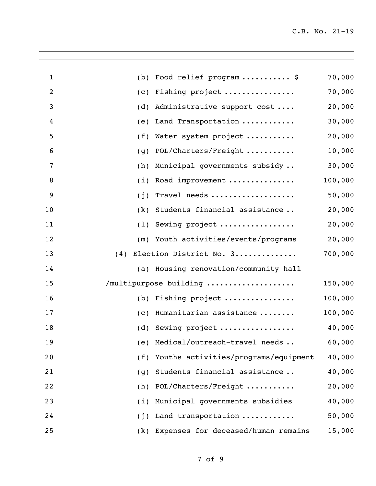| $\mathbf{1}$   | (b) | Food relief program  \$               | 70,000  |
|----------------|-----|---------------------------------------|---------|
| $\overline{2}$ | (c) | Fishing project                       | 70,000  |
| 3              | (d) | Administrative support cost           | 20,000  |
| 4              | (e) | Land Transportation                   | 30,000  |
| 5              | (f) | Water system project                  | 20,000  |
| 6              | (g) | POL/Charters/Freight                  | 10,000  |
| 7              | (h) | Municipal governments subsidy         | 30,000  |
| 8              | (i) | Road improvement                      | 100,000 |
| 9              | (j) | Travel needs                          | 50,000  |
| 10             | (k) | Students financial assistance         | 20,000  |
| 11             | (1) | Sewing project                        | 20,000  |
| 12             | (m) | Youth activities/events/programs      | 20,000  |
| 13             | (4) | Election District No. 3               | 700,000 |
| 14             |     | (a) Housing renovation/community hall |         |
| 15             |     | /multipurpose building                | 150,000 |
| 16             |     | (b) Fishing project $\ldots$          | 100,000 |
| 17             | (c) | Humanitarian assistance               | 100,000 |
| 18             | (d) | Sewing project                        | 40,000  |
| 19             |     | (e) Medical/outreach-travel needs     | 60,000  |
| 20             | (f) | Youths activities/programs/equipment  | 40,000  |
| 21             | (g) | Students financial assistance         | 40,000  |
| 22             | (h) | POL/Charters/Freight                  | 20,000  |
| 23             | (i) | Municipal governments subsidies       | 40,000  |
| 24             | (j) | Land transportation                   | 50,000  |
| 25             | (k) | Expenses for deceased/human remains   | 15,000  |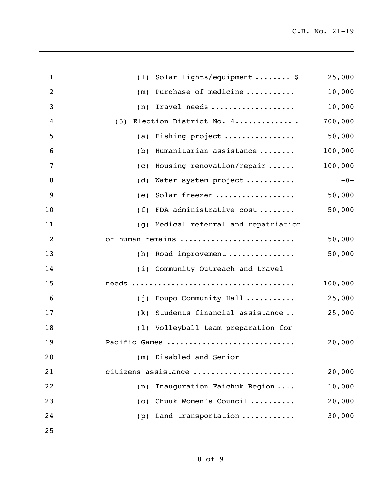| $\mathbf{1}$   | (1)                     | Solar lights/equipment  \$          | 25,000  |
|----------------|-------------------------|-------------------------------------|---------|
| $\overline{2}$ | (m)                     | Purchase of medicine                | 10,000  |
| 3              | (n)                     | Travel needs                        | 10,000  |
| 4              | (5)                     | Election District No. 4             | 700,000 |
| 5              | (a)                     | Fishing project                     | 50,000  |
| 6              | (b)                     | Humanitarian assistance             | 100,000 |
| 7              | (c)                     | Housing renovation/repair           | 100,000 |
| 8              | (d)                     | Water system project                | $-0-$   |
| 9              | (e)                     | Solar freezer                       | 50,000  |
| 10             | (f)                     | FDA administrative cost             | 50,000  |
| 11             | (g)                     | Medical referral and repatriation   |         |
| 12             |                         | of human remains                    | 50,000  |
| 13             | (h)                     | Road improvement                    | 50,000  |
| 14             |                         | (i) Community Outreach and travel   |         |
| 15             |                         |                                     | 100,000 |
| 16             |                         | (j) Foupo Community Hall            | 25,000  |
| 17             | (k)                     | Students financial assistance       | 25,000  |
| 18             |                         | (1) Volleyball team preparation for |         |
| 19             |                         | Pacific Games                       | 20,000  |
| 20             | (m) Disabled and Senior |                                     |         |
| 21             |                         | citizens assistance                 | 20,000  |
| 22             | (n)                     | Inauguration Faichuk Region         | 10,000  |
| 23             | (0)                     | Chuuk Women's Council               | 20,000  |
| 24             | (p)                     | Land transportation                 | 30,000  |
| 25             |                         |                                     |         |